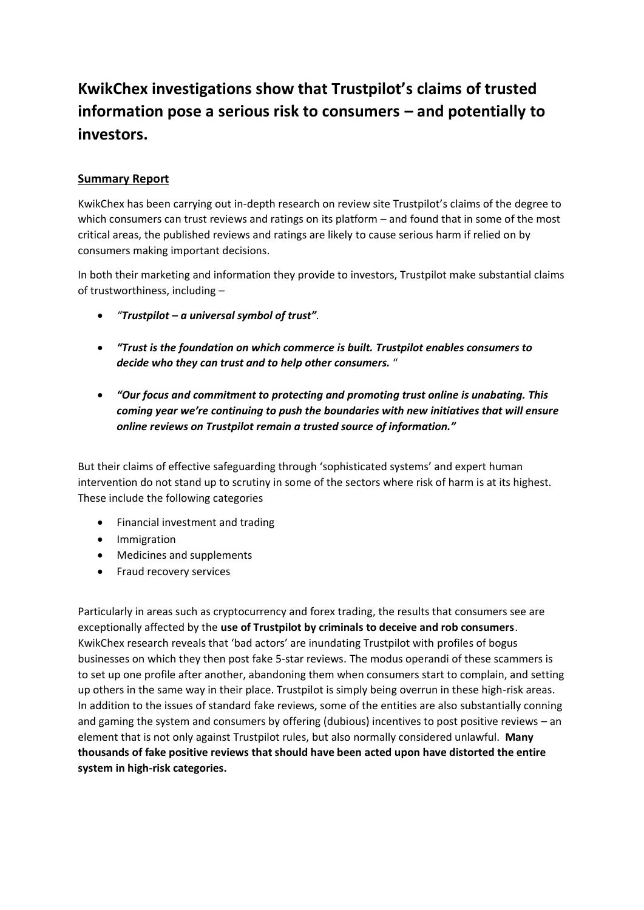## **KwikChex investigations show that Trustpilot's claims of trusted information pose a serious risk to consumers – and potentially to investors.**

### **Summary Report**

KwikChex has been carrying out in-depth research on review site Trustpilot's claims of the degree to which consumers can trust reviews and ratings on its platform – and found that in some of the most critical areas, the published reviews and ratings are likely to cause serious harm if relied on by consumers making important decisions.

In both their marketing and information they provide to investors, Trustpilot make substantial claims of trustworthiness, including –

- *"Trustpilot – a universal symbol of trust".*
- *"Trust is the foundation on which commerce is built. Trustpilot enables consumers to decide who they can trust and to help other consumers.* "
- *"Our focus and commitment to protecting and promoting trust online is unabating. This coming year we're continuing to push the boundaries with new initiatives that will ensure online reviews on Trustpilot remain a trusted source of information."*

But their claims of effective safeguarding through 'sophisticated systems' and expert human intervention do not stand up to scrutiny in some of the sectors where risk of harm is at its highest. These include the following categories

- Financial investment and trading
- Immigration
- Medicines and supplements
- Fraud recovery services

Particularly in areas such as cryptocurrency and forex trading, the results that consumers see are exceptionally affected by the **use of Trustpilot by criminals to deceive and rob consumers**. KwikChex research reveals that 'bad actors' are inundating Trustpilot with profiles of bogus businesses on which they then post fake 5-star reviews. The modus operandi of these scammers is to set up one profile after another, abandoning them when consumers start to complain, and setting up others in the same way in their place. Trustpilot is simply being overrun in these high-risk areas. In addition to the issues of standard fake reviews, some of the entities are also substantially conning and gaming the system and consumers by offering (dubious) incentives to post positive reviews – an element that is not only against Trustpilot rules, but also normally considered unlawful. **Many thousands of fake positive reviews that should have been acted upon have distorted the entire system in high-risk categories.**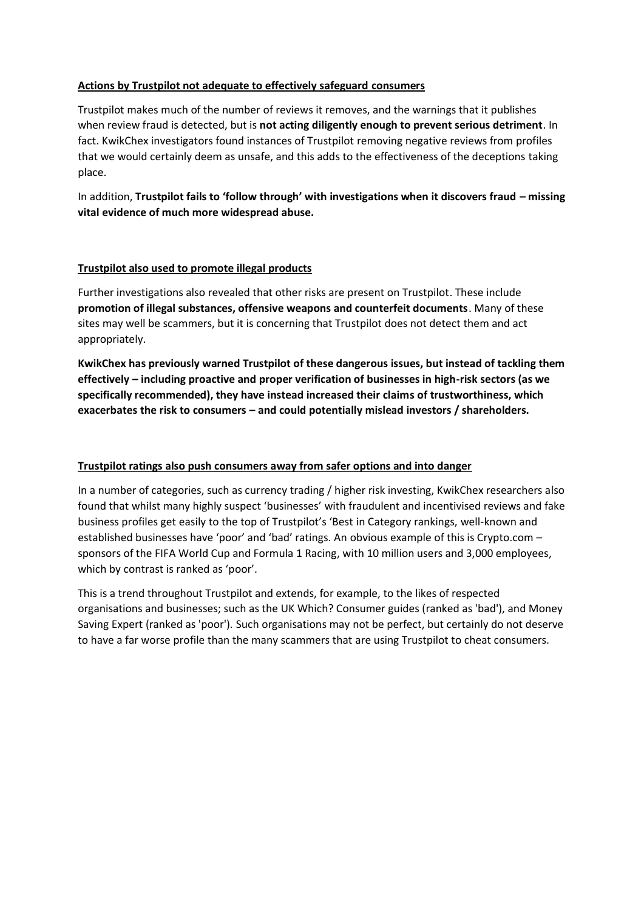#### **Actions by Trustpilot not adequate to effectively safeguard consumers**

Trustpilot makes much of the number of reviews it removes, and the warnings that it publishes when review fraud is detected, but is **not acting diligently enough to prevent serious detriment**. In fact. KwikChex investigators found instances of Trustpilot removing negative reviews from profiles that we would certainly deem as unsafe, and this adds to the effectiveness of the deceptions taking place.

In addition, **Trustpilot fails to 'follow through' with investigations when it discovers fraud – missing vital evidence of much more widespread abuse.** 

#### **Trustpilot also used to promote illegal products**

Further investigations also revealed that other risks are present on Trustpilot. These include **promotion of illegal substances, offensive weapons and counterfeit documents**. Many of these sites may well be scammers, but it is concerning that Trustpilot does not detect them and act appropriately.

**KwikChex has previously warned Trustpilot of these dangerous issues, but instead of tackling them effectively – including proactive and proper verification of businesses in high-risk sectors (as we specifically recommended), they have instead increased their claims of trustworthiness, which exacerbates the risk to consumers – and could potentially mislead investors / shareholders.**

#### **Trustpilot ratings also push consumers away from safer options and into danger**

In a number of categories, such as currency trading / higher risk investing, KwikChex researchers also found that whilst many highly suspect 'businesses' with fraudulent and incentivised reviews and fake business profiles get easily to the top of Trustpilot's 'Best in Category rankings, well-known and established businesses have 'poor' and 'bad' ratings. An obvious example of this is Crypto.com – sponsors of the FIFA World Cup and Formula 1 Racing, with 10 million users and 3,000 employees, which by contrast is ranked as 'poor'.

This is a trend throughout Trustpilot and extends, for example, to the likes of respected organisations and businesses; such as the UK Which? Consumer guides (ranked as 'bad'), and Money Saving Expert (ranked as 'poor'). Such organisations may not be perfect, but certainly do not deserve to have a far worse profile than the many scammers that are using Trustpilot to cheat consumers.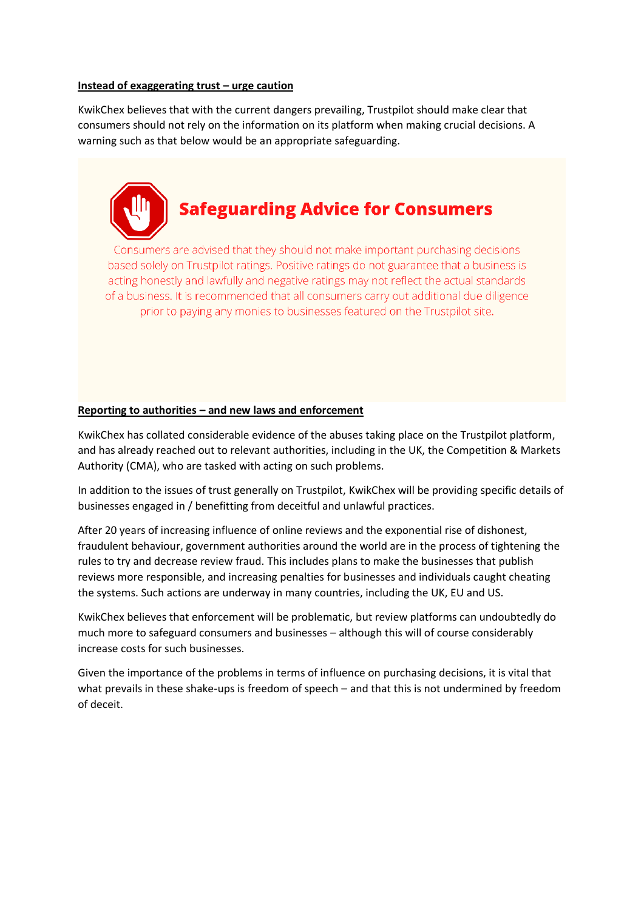#### **Instead of exaggerating trust – urge caution**

KwikChex believes that with the current dangers prevailing, Trustpilot should make clear that consumers should not rely on the information on its platform when making crucial decisions. A warning such as that below would be an appropriate safeguarding.

# **Safeguarding Advice for Consumers**

Consumers are advised that they should not make important purchasing decisions based solely on Trustpilot ratings. Positive ratings do not guarantee that a business is acting honestly and lawfully and negative ratings may not reflect the actual standards of a business. It is recommended that all consumers carry out additional due diligence prior to paying any monies to businesses featured on the Trustpilot site.

#### **Reporting to authorities – and new laws and enforcement**

KwikChex has collated considerable evidence of the abuses taking place on the Trustpilot platform, and has already reached out to relevant authorities, including in the UK, the Competition & Markets Authority (CMA), who are tasked with acting on such problems.

In addition to the issues of trust generally on Trustpilot, KwikChex will be providing specific details of businesses engaged in / benefitting from deceitful and unlawful practices.

After 20 years of increasing influence of online reviews and the exponential rise of dishonest, fraudulent behaviour, government authorities around the world are in the process of tightening the rules to try and decrease review fraud. This includes plans to make the businesses that publish reviews more responsible, and increasing penalties for businesses and individuals caught cheating the systems. Such actions are underway in many countries, including the UK, EU and US.

KwikChex believes that enforcement will be problematic, but review platforms can undoubtedly do much more to safeguard consumers and businesses – although this will of course considerably increase costs for such businesses.

Given the importance of the problems in terms of influence on purchasing decisions, it is vital that what prevails in these shake-ups is freedom of speech – and that this is not undermined by freedom of deceit.